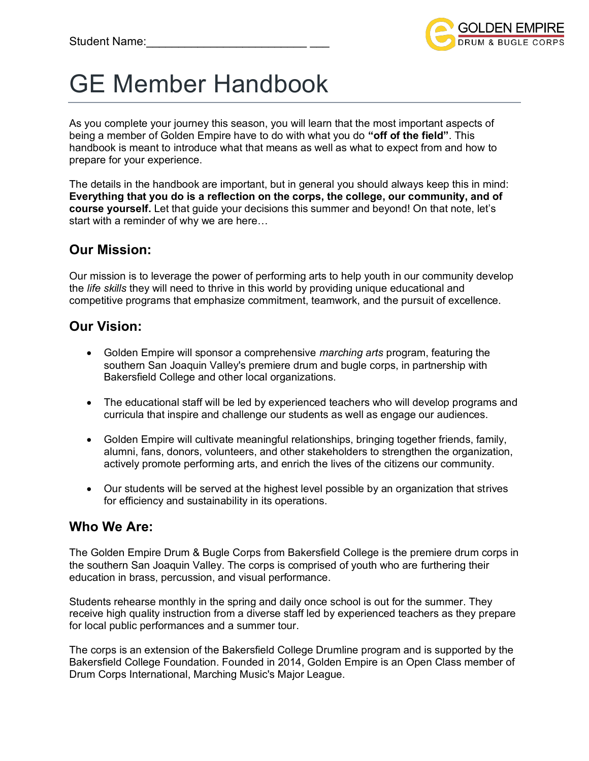

# GE Member Handbook

As you complete your journey this season, you will learn that the most important aspects of being a member of Golden Empire have to do with what you do **"off of the field"**. This handbook is meant to introduce what that means as well as what to expect from and how to prepare for your experience.

The details in the handbook are important, but in general you should always keep this in mind: **Everything that you do is a reflection on the corps, the college, our community, and of course yourself.** Let that guide your decisions this summer and beyond! On that note, let's start with a reminder of why we are here…

## **Our Mission:**

Our mission is to leverage the power of performing arts to help youth in our community develop the *life skills* they will need to thrive in this world by providing unique educational and competitive programs that emphasize commitment, teamwork, and the pursuit of excellence.

## **Our Vision:**

- Golden Empire will sponsor a comprehensive *marching arts* program, featuring the southern San Joaquin Valley's premiere drum and bugle corps, in partnership with Bakersfield College and other local organizations.
- The educational staff will be led by experienced teachers who will develop programs and curricula that inspire and challenge our students as well as engage our audiences.
- Golden Empire will cultivate meaningful relationships, bringing together friends, family, alumni, fans, donors, volunteers, and other stakeholders to strengthen the organization, actively promote performing arts, and enrich the lives of the citizens our community.
- Our students will be served at the highest level possible by an organization that strives for efficiency and sustainability in its operations.

## **Who We Are:**

The Golden Empire Drum & Bugle Corps from Bakersfield College is the premiere drum corps in the southern San Joaquin Valley. The corps is comprised of youth who are furthering their education in brass, percussion, and visual performance.

Students rehearse monthly in the spring and daily once school is out for the summer. They receive high quality instruction from a diverse staff led by experienced teachers as they prepare for local public performances and a summer tour.

The corps is an extension of the Bakersfield College Drumline program and is supported by the Bakersfield College Foundation. Founded in 2014, Golden Empire is an Open Class member of Drum Corps International, Marching Music's Major League.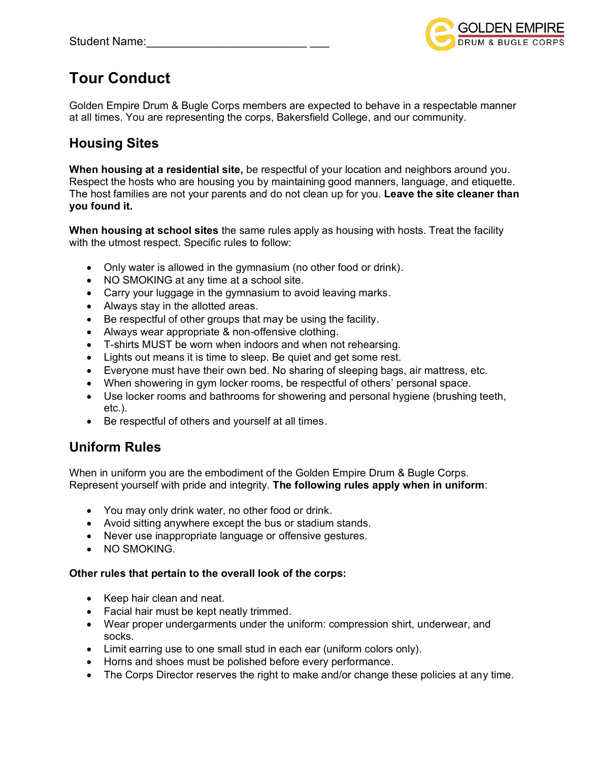

## **Tour Conduct**

Golden Empire Drum & Bugle Corps members are expected to behave in a respectable manner at all times. You are representing the corps, Bakersfield College, and our community.

## **Housing Sites**

**When housing at a residential site,** be respectful of your location and neighbors around you. Respect the hosts who are housing you by maintaining good manners, language, and etiquette. The host families are not your parents and do not clean up for you. **Leave the site cleaner than you found it.**

**When housing at school sites** the same rules apply as housing with hosts. Treat the facility with the utmost respect. Specific rules to follow:

- Only water is allowed in the gymnasium (no other food or drink).
- NO SMOKING at any time at a school site.
- Carry your luggage in the gymnasium to avoid leaving marks.
- Always stay in the allotted areas.
- Be respectful of other groups that may be using the facility.
- Always wear appropriate & non-offensive clothing.
- T-shirts MUST be worn when indoors and when not rehearsing.
- Lights out means it is time to sleep. Be quiet and get some rest.
- Everyone must have their own bed. No sharing of sleeping bags, air mattress, etc.
- When showering in gym locker rooms, be respectful of others' personal space.
- Use locker rooms and bathrooms for showering and personal hygiene (brushing teeth, etc.).
- Be respectful of others and yourself at all times.

## **Uniform Rules**

When in uniform you are the embodiment of the Golden Empire Drum & Bugle Corps. Represent yourself with pride and integrity. **The following rules apply when in uniform**:

- You may only drink water, no other food or drink.
- Avoid sitting anywhere except the bus or stadium stands.
- Never use inappropriate language or offensive gestures.
- NO SMOKING.

#### **Other rules that pertain to the overall look of the corps:**

- Keep hair clean and neat.
- Facial hair must be kept neatly trimmed.
- Wear proper undergarments under the uniform: compression shirt, underwear, and socks.
- Limit earring use to one small stud in each ear (uniform colors only).
- Horns and shoes must be polished before every performance.
- The Corps Director reserves the right to make and/or change these policies at any time.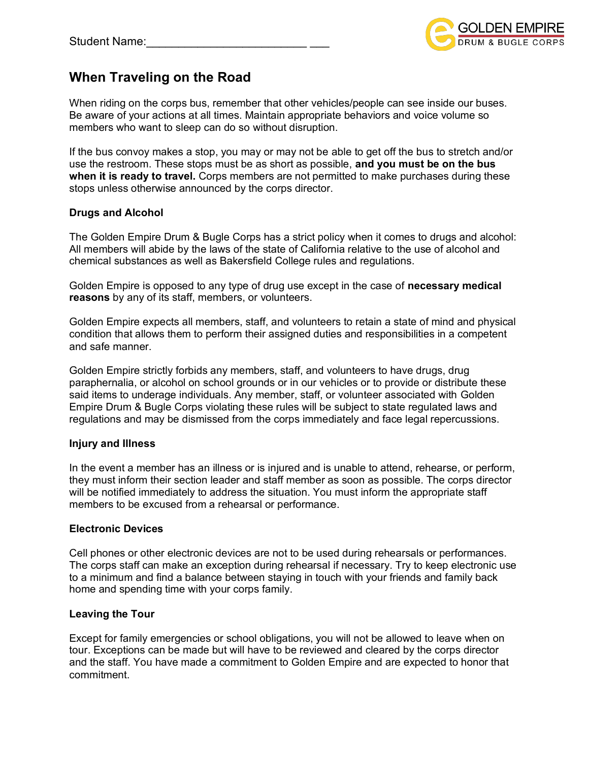

## **When Traveling on the Road**

When riding on the corps bus, remember that other vehicles/people can see inside our buses. Be aware of your actions at all times. Maintain appropriate behaviors and voice volume so members who want to sleep can do so without disruption.

If the bus convoy makes a stop, you may or may not be able to get off the bus to stretch and/or use the restroom. These stops must be as short as possible, **and you must be on the bus when it is ready to travel.** Corps members are not permitted to make purchases during these stops unless otherwise announced by the corps director.

#### **Drugs and Alcohol**

The Golden Empire Drum & Bugle Corps has a strict policy when it comes to drugs and alcohol: All members will abide by the laws of the state of California relative to the use of alcohol and chemical substances as well as Bakersfield College rules and regulations.

Golden Empire is opposed to any type of drug use except in the case of **necessary medical reasons** by any of its staff, members, or volunteers.

Golden Empire expects all members, staff, and volunteers to retain a state of mind and physical condition that allows them to perform their assigned duties and responsibilities in a competent and safe manner.

Golden Empire strictly forbids any members, staff, and volunteers to have drugs, drug paraphernalia, or alcohol on school grounds or in our vehicles or to provide or distribute these said items to underage individuals. Any member, staff, or volunteer associated with Golden Empire Drum & Bugle Corps violating these rules will be subject to state regulated laws and regulations and may be dismissed from the corps immediately and face legal repercussions.

#### **Injury and Illness**

In the event a member has an illness or is injured and is unable to attend, rehearse, or perform, they must inform their section leader and staff member as soon as possible. The corps director will be notified immediately to address the situation. You must inform the appropriate staff members to be excused from a rehearsal or performance.

#### **Electronic Devices**

Cell phones or other electronic devices are not to be used during rehearsals or performances. The corps staff can make an exception during rehearsal if necessary. Try to keep electronic use to a minimum and find a balance between staying in touch with your friends and family back home and spending time with your corps family.

#### **Leaving the Tour**

Except for family emergencies or school obligations, you will not be allowed to leave when on tour. Exceptions can be made but will have to be reviewed and cleared by the corps director and the staff. You have made a commitment to Golden Empire and are expected to honor that commitment.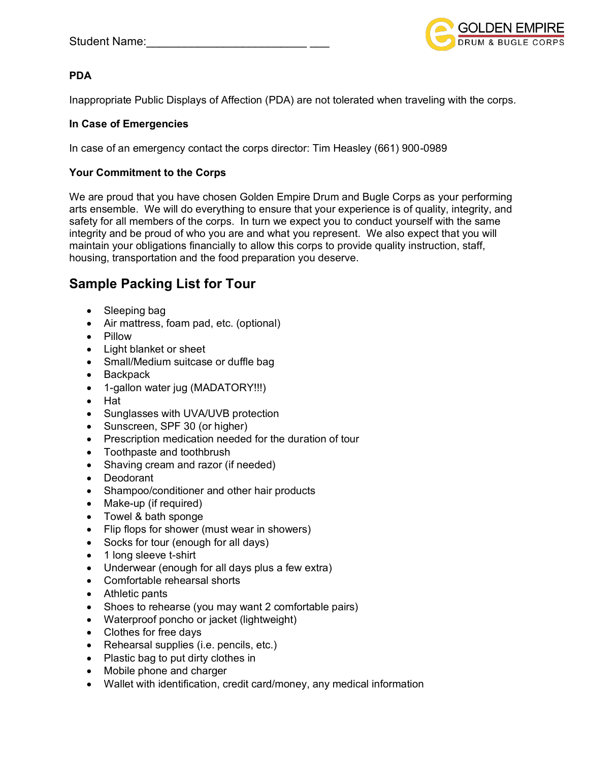

#### **PDA**

Inappropriate Public Displays of Affection (PDA) are not tolerated when traveling with the corps.

#### **In Case of Emergencies**

In case of an emergency contact the corps director: Tim Heasley (661) 900-0989

#### **Your Commitment to the Corps**

We are proud that you have chosen Golden Empire Drum and Bugle Corps as your performing arts ensemble. We will do everything to ensure that your experience is of quality, integrity, and safety for all members of the corps. In turn we expect you to conduct yourself with the same integrity and be proud of who you are and what you represent. We also expect that you will maintain your obligations financially to allow this corps to provide quality instruction, staff, housing, transportation and the food preparation you deserve.

## **Sample Packing List for Tour**

- Sleeping bag
- Air mattress, foam pad, etc. (optional)
- Pillow
- Light blanket or sheet
- Small/Medium suitcase or duffle bag
- Backpack
- 1-gallon water jug (MADATORY!!!)
- Hat
- Sunglasses with UVA/UVB protection
- Sunscreen, SPF 30 (or higher)
- Prescription medication needed for the duration of tour
- Toothpaste and toothbrush
- Shaving cream and razor (if needed)
- Deodorant
- Shampoo/conditioner and other hair products
- Make-up (if required)
- Towel & bath sponge
- Flip flops for shower (must wear in showers)
- Socks for tour (enough for all days)
- 1 long sleeve t-shirt
- Underwear (enough for all days plus a few extra)
- Comfortable rehearsal shorts
- Athletic pants
- Shoes to rehearse (you may want 2 comfortable pairs)
- Waterproof poncho or jacket (lightweight)
- Clothes for free days
- Rehearsal supplies (i.e. pencils, etc.)
- Plastic bag to put dirty clothes in
- Mobile phone and charger
- Wallet with identification, credit card/money, any medical information